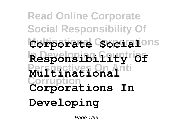**Read Online Corporate Social Responsibility Of Multinational Corporations Corporate Social In Developing Countries Responsibility Of Perspectives On Anti Multinational Corruption Corporations In Developing**

Page 1/99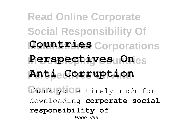**Read Online Corporate Social Responsibility Of Countries** Corporations **Perspectives Ones**  $\text{AntieCorruption}$ Thank you entirely much for downloading **corporate social responsibility of** Page 2/99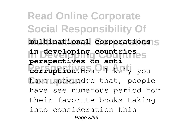**Read Online Corporate Social Responsibility Of Multinational Corporations multinational corporations In Developing Countries in developing countries Perspectives On Anti corruption**.Most likely you have knowledge that, people **perspectives on anti** have see numerous period for their favorite books taking into consideration this Page 3/99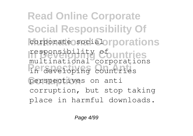**Read Online Corporate Social Responsibility Of** corporate social orporations responsibility Countries **Perspectives On Anti** in developing countries perspectives on anti multinational corporations corruption, but stop taking place in harmful downloads.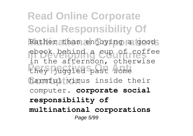**Read Online Corporate Social Responsibility Of** Rather than enjoying a good **In Developing Countries** ebook behind a cup of coffee **Perspectives On Anti** they juggled past some harmful virus inside their in the afternoon, otherwise computer. **corporate social responsibility of multinational corporations** Page 5/99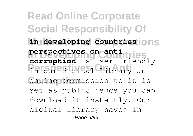**Read Online Corporate Social Responsibility Of**  $\ln$  developing countries ions **In Developing Countries perspectives on anti** Perspectives of the south of the second second the second second second the second second second second second s **Conline permission** to it is **corruption** is user-friendly set as public hence you can download it instantly. Our digital library saves in Page 6/99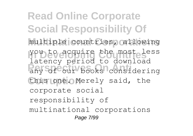**Read Online Corporate Social Responsibility Of Multinational Corporations** multiple countries, allowing **In Developing Countries** you to acquire the most less **Perspectives On Anti** any of our books considering this one. Merely said, the latency period to download corporate social responsibility of multinational corporations Page 7/99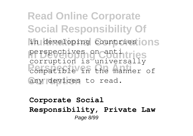**Read Online Corporate Social Responsibility Of** in developing countries ons perspectives on countinries **Perspective** on the manner of any devices to read. corruption is universally

**Corporate Social Responsibility, Private Law** Page 8/99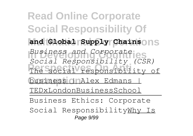**Read Online Corporate Social Responsibility Of** and Global Supply Chainsons **In Developing Countries** *Business and Corporate* **Perspectives On Anti** The social responsibility of **business InAlex Edmans** | *Social Responsibility (CSR)* TEDxLondonBusinessSchool Business Ethics: Corporate Social ResponsibilityWhy Is Page 9/99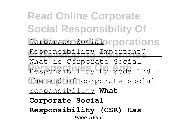**Read Online Corporate Social Responsibility Of** Corporate Social orporations Responsibility Important? mat is corporate boorar The end of corporate social What is Corporate Social responsibility **What Corporate Social Responsibility (CSR) Has** Page 10/99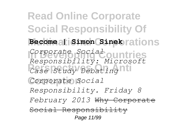**Read Online Corporate Social Responsibility Of Multinational Corporations Become | Simon Sinek In Developing Countries** *Corporate Social* **Perspectives On Anti** *Case Study Debating* Corporate Social *Responsibility: Microsoft Responsibility. Friday 8 February 2013* Why Corporate Social Responsibility Page 11/99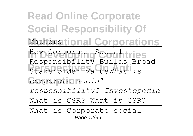**Read Online Corporate Social Responsibility Of Matterstional Corporations** How Corporate Social **Tries Perspectives On Anti** Stakeholder Value*What is*  $corporte$  social Responsibility Builds Broad *responsibility? Investopedia* What is CSR? What is CSR? What is Corporate social Page 12/99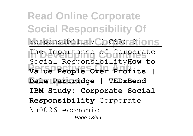**Read Online Corporate Social Responsibility Of** responsibility (#CSR) ?lions **In Developing Countries** The Importance of Corporate **Perspectives On Anti Value People Over Profits | Corruption Dale Partridge | TEDxBend** Social Responsibility**How to IBM Study: Corporate Social Responsibility** Corporate \u0026 economic Page 13/99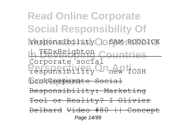**Read Online Corporate Social Responsibility Of** responsibility **OOSAM** RODDICK **In TEDxBrighton Countries Perspectives On Anti** responsibility - new IOSH book<del>Corporate Social</del> Corporate social Responsibility: Marketing Tool or Reality? I Olivier Delbard Video #80 || Concept Page 14/99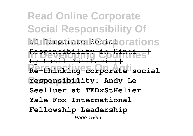**Read Online Corporate Social Responsibility Of** of Corporate Social orations Responsibility Countries **Perspectives On Anti Re-thinking corporate social Corruption responsibility: Andy Le** By Sunil Adhikari **Seelluer at TEDxStHelier Yale Fox International Fellowship Leadership** Page 15/99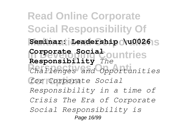**Read Online Corporate Social Responsibility Of**  $S$ eminar: Leadership \u0026<sup>1</sup>S **In Developing Countries Corporate Social Perspectives On Anti** *Challenges and Opportunities* **Corruption** *for Corporate Social* **Responsibility** *The Responsibility in a time of Crisis The Era of Corporate Social Responsibility is* Page 16/99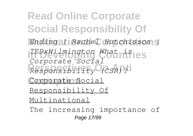**Read Online Corporate Social Responsibility Of Multinational Corporations** *Ending | Rachel Hutchisson |* **In Developing Countries** *TEDxWilmington What is* **Perspectives On Anti** *Responsibility (CSR)?* Corporate Social *Corporate Social* Responsibility Of Multinational

The increasing importance of Page 17/99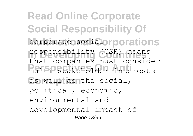**Read Online Corporate Social Responsibility Of** corporate social orporations responsibility (CSR) means **Perspectives On Anti** multi-stakeholder interests as well as the social, that companies must consider political, economic, environmental and developmental impact of Page 18/99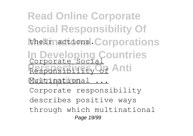**Read Online Corporate Social Responsibility Of Multinational Corporations** their actions. **In Developing Countries** Corporate Social **Responsibility Of Anti Corruption** Multinational ... Corporate responsibility describes positive ways through which multinational Page 19/99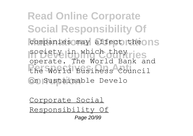**Read Online Corporate Social Responsibility Of** companies may affect the ONS society in which they ries **Perspectives On Anti** the World Business Council **Corruption** on Sustainable Develo operate. The World Bank and

Corporate Social

Responsibility Of Page 20/99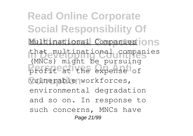**Read Online Corporate Social Responsibility Of** Multinational Companies<sup>1</sup>ONS **In Developing Countries** that multinational companies profit<sup>e</sup> at the expense of **Corruption** vulnerable workforces, (MNCs) might be pursuing environmental degradation and so on. In response to such concerns, MNCs have Page 21/99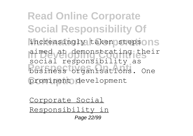**Read Online Corporate Social Responsibility Of** increasingly taken stepsons aimed at demonstrating their **Productives** organisations. One prominent development social responsibility as

Corporate Social Responsibility in

Page 22/99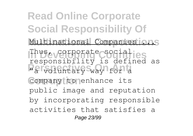**Read Online Corporate Social Responsibility Of** Multinational Companies ons Thus, corporate socialies **Persons Indy** 10 2011 Company to enhance its responsibility is defined as public image and reputation by incorporating responsible activities that satisfies a Page 23/99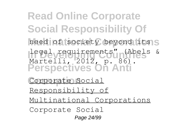**Read Online Corporate Social Responsibility Of** need of society beyond its<sub>IS</sub> legal requirements" (Abels & **Perspectives On Anti** Corporate Social Martelli, 2012, p. 86). Responsibility of Multinational Corporations

Corporate Social Page 24/99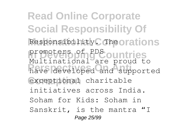**Read Online Corporate Social Responsibility Of** Responsibility. Theorations promoters of PDS ountries **Perspectives On Anti** have developed and supported exceptional charitable Multinational are proud to initiatives across India. Soham for Kids: Soham in Sanskrit, is the mantra "I Page 25/99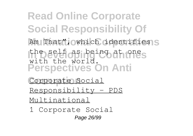**Read Online Corporate Social Responsibility Of** Am That", owhich identifies S **In Developing Countries** the self as being at one **Perspectives On Anti** with the world.

Corporate Social Responsibility - PDS Multinational

1 Corporate Social Page 26/99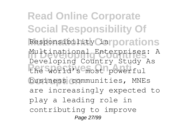**Read Online Corporate Social Responsibility Of** Responsibility Cinrporations **In Developing Countries** Multinational Enterprises: A **Perspectives On Anti** the world's most powerful business communities, MNEs Developing Country Study As are increasingly expected to play a leading role in contributing to improve Page 27/99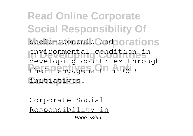**Read Online Corporate Social Responsibility Of** socio-economic and orations environmental condition in **Perspectives On Anti** their engagement in CSR **Corruption** initiatives. developing countries through

Corporate Social

Responsibility in Page 28/99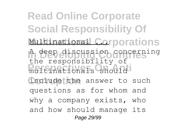**Read Online Corporate Social Responsibility Of Multinational Corporations In Developing Countries** A deep discussion concerning multinationals should include the answer to such the responsibility of questions as for whom and why a company exists, who and how should manage its Page 29/99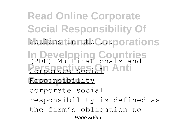**Read Online Corporate Social Responsibility Of** actions in the Corporations **In Developing Countries** (PDF) Multinationals and **Perspectives** Responsibility corporate social responsibility is defined as the firm's obligation to Page 30/99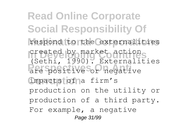**Read Online Corporate Social Responsibility Of** respond to the externalities **In Developing Countries** created by market action **Perspectives On Anti** are positive or negative impacts of a firm's (Sethi, 1990). Externalities production on the utility or production of a third party. For example, a negative Page 31/99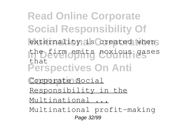**Read Online Corporate Social Responsibility Of** externality is created when **In Developing Countries** the firm emits noxious gases **Perspectives On Anti** Corporate Social that Responsibility in the

Multinational ...

Multinational profit-making Page 32/99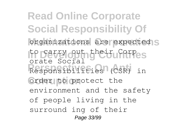**Read Online Corporate Social Responsibility Of** organizations are expected<sub>S</sub> to carry out their Corpes **Perspectives On Anti** Responsibilities (CSR) in **Order to protect the** orate Social environment and the safety of people living in the surround ing of their Page 33/99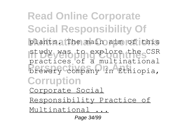**Read Online Corporate Social Responsibility Of** plants. The main aim of this **In Developing Countries** study was to explore the CSR **Perspectives On Anti** brewery company in Ethiopia, **Corruption** practices of a multinational Corporate Social Responsibility Practice of Multinational ... Page 34/99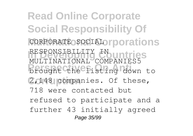**Read Online Corporate Social Responsibility Of** CORPORATE SOCIAL or porations RESPONSIBILITY IN<br>MULTINATIONAL COMPANIES5 **Perspectives On Anti** brought the listing down to 2,148 companies. Of these, RESPONSIBILITY IN untries 718 were contacted but refused to participate and a further 43 initially agreed Page 35/99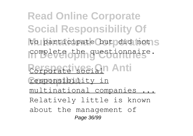**Read Online Corporate Social Responsibility Of** to participate but did not S complete the questionnaire. **Perspectives On Anti Corruption** responsibility in multinational companies Relatively little is known about the management of Page 36/99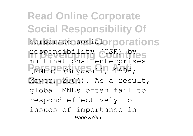**Read Online Corporate Social Responsibility Of** corporate social orporations responsibility (CSR) byes **Perspectives On Anti** (MNEs) (Gnyawali, 1996; Meyer, 2004). As a result, multinational enterprises global MNEs often fail to respond effectively to issues of importance in Page 37/99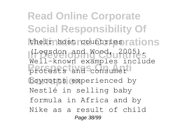**Read Online Corporate Social Responsibility Of** their host countries rations **In Developing Countries** (Logsdon and Wood, 2005). **Perspectives On Anti** protests and consumer boycotts experienced by Well-known examples include Nestlé in selling baby formula in Africa and by Nike as a result of child Page 38/99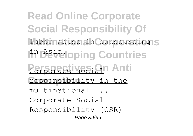**Read Online Corporate Social Responsibility Of** labor abuse in outsourcing<sub>IS</sub> I<sup>in</sup> Developing Countries **Perspectives On Anti** responsibility in the multinational ... Corporate Social Responsibility (CSR) Page 39/99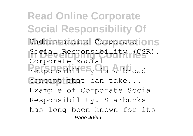**Read Online Corporate Social Responsibility Of** Understanding Corporate **JONS In Developing Countries** Social Responsibility (CSR). responsibility is a broad concept that can take... Corporate social Example of Corporate Social Responsibility. Starbucks has long been known for its Page 40/99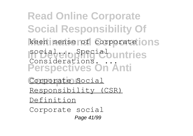**Read Online Corporate Social Responsibility Of** keen sense of corporate **JONS sociale operations Perspectives On Anti** Considerations. ...

Corporate Social Responsibility (CSR) Definition

Corporate social Page 41/99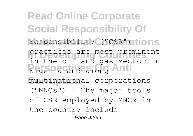**Read Online Corporate Social Responsibility Of** responsibility C("CSR")ations practices are most prominent **Personal and among Anti** multinational corporations in the oil and gas sector in ("MNCs").1 The major tools of CSR employed by MNCs in the country include Page 42/99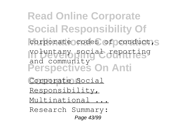**Read Online Corporate Social Responsibility Of** corporate codes of conduct, S **In Developing Countries** voluntary social reporting **Perspectives On Anti** and community

- Corporate Social
- Responsibility,
- Multinational ...
- Research Summary: Page 43/99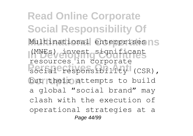**Read Online Corporate Social Responsibility Of** Multinational enterprises nS (MNEs) invest significant **PERSON ANTIFICATE:** COLORATION (CSR), but their attempts to build resources in corporate a global "social brand" may clash with the execution of operational strategies at a Page 44/99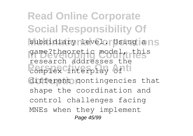**Read Online Corporate Social Responsibility Of** subsidiary level. Using ans game?theoretic model, this **Person Complex Cinterplay of the** different contingencies that research addresses the shape the coordination and control challenges facing MNEs when they implement Page 45/99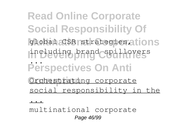**Read Online Corporate Social Responsibility Of** global CSR strategies ations **In Developing Countries** including brand spillovers **Perspectives On Anti Orchestrating corporate** ... social responsibility in the

<u>. . .</u>

multinational corporate Page 46/99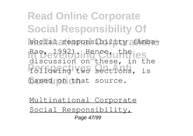**Read Online Corporate Social Responsibility Of** social responsibility (Amba-Rao, 1992) in Hence, uthries **Perspectives On Anti** following two sections, is based on that source. discussion on these, in the

Multinational Corporate Social Responsibility, Page 47/99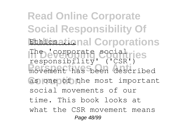**Read Online Corporate Social Responsibility Of Ethicsational Corporations** The **'**corporate social ries **Perspectives On Anti** movement has been described as one of the most important responsibility' ('CSR') social movements of our time. This book looks at what the CSR movement means Page 48/99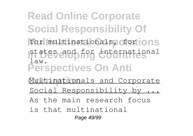**Read Online Corporate Social Responsibility Of** for multinationals, ofor **JON**S states and for international **Perspectives On Anti** Multinationals and Corporate law. Social Responsibility by As the main research focus

is that multinational

Page 49/99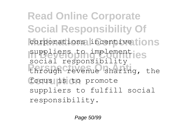**Read Online Corporate Social Responsibility Of** corporations incentive tions suppliers to implementies **Perspectives On Anti** through revenue sharing, the focus is to promote social responsibility suppliers to fulfill social responsibility.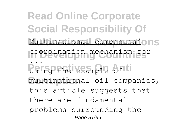**Read Online Corporate Social Responsibility Of** Multinational companies'ons **In Developing Countries** coordination mechanism for **Perspectives mole on the** multinational oil companies, ... Using the example of this article suggests that there are fundamental problems surrounding the Page 51/99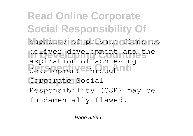**Read Online Corporate Social Responsibility Of** capacity of private firms to deliver development and the development through nti Corporate Social aspiration of achieving Responsibility (CSR) may be fundamentally flawed.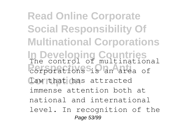**Read Online Corporate Social Responsibility Of Multinational Corporations In Developing Countries** The control of multinational **Perspectives On Anti** corporations is an area of law that has attracted immense attention both at national and international level. In recognition of the Page 53/99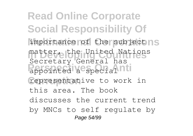**Read Online Corporate Social Responsibility Of** importance of the subjectns matter, the United Nations **Personal Accords** representative to work in Secretary General has this area. The book discusses the current trend by MNCs to self regulate by Page 54/99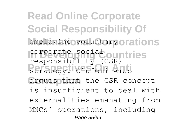**Read Online Corporate Social Responsibility Of** employing voluntary orations corporate social ountries **Persons India**<br>
strategy. Olufemi Amao argues that the CSR concept responsibility (CSR) is insufficient to deal with externalities emanating from MNCs' operations, including Page 55/99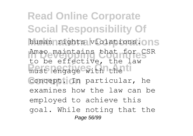**Read Online Corporate Social Responsibility Of** human rights violations. ONS Amao maintains that for CSR must engage with the Concept. In particular, he to be effective, the law examines how the law can be employed to achieve this goal. While noting that the Page 56/99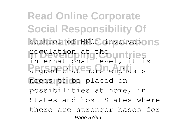**Read Online Corporate Social Responsibility Of** control of MNCs involvesons regulation at g<sup>theo</sup>untries **Perspectives On Anti** argued that more emphasis needs to be placed on international level, it is possibilities at home, in States and host States where there are stronger bases for Page 57/99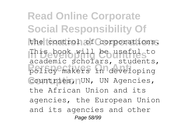**Read Online Corporate Social Responsibility Of Multinational Corporations** the control of corporations. **In Developing Countries** This book will be useful to **Perspectives On Anti** policy makers in developing Countries, <sub>N</sub>UN, UN Agencies, academic scholars, students, the African Union and its agencies, the European Union and its agencies and other Page 58/99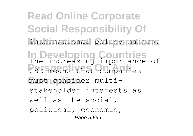**Read Online Corporate Social Responsibility Of** international policy makers. **In Developing Countries** The increasing importance of **PERSPECTIVES ON ANTISEMENT COMPANIES** must consider multistakeholder interests as well as the social, political, economic, Page 59/99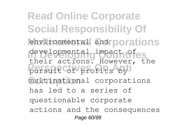**Read Online Corporate Social Responsibility Of** environmental and porations **In Developing Countries** developmental impact of pursuit of profits by multinational corporations their actions. However, the has led to a series of questionable corporate actions and the consequences Page 60/99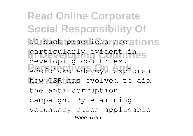**Read Online Corporate Social Responsibility Of** of such practices are ations particularly evident ines **Perspectives On Anti** Adefolake Adeyeye explores how CSR has evolved to aid developing countries. the anti-corruption campaign. By examining voluntary rules applicable Page 61/99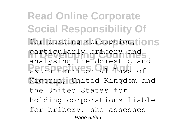**Read Online Corporate Social Responsibility Of** for curbing corruption, ions particularly bribery and **Perspectives On Anti** extra-territorial laws of **Corruption** Nigeria, United Kingdom and analysing the domestic and the United States for holding corporations liable for bribery, she assesses Page 62/99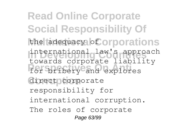**Read Online Corporate Social Responsibility Of** the tadequacy **of orporations** international law's approach **Perspectives On Anti** for bribery and explores direct corporate towards corporate liability responsibility for international corruption. The roles of corporate Page 63/99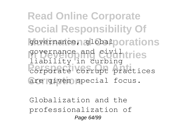**Read Online Corporate Social Responsibility Of** governance, global porations governance and civil tries **PERSPECTED:** 2019 THE CORPORATE COMPOSITIONS are given special focus. liability in curbing

Globalization and the professionalization of Page 64/99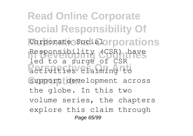**Read Online Corporate Social Responsibility Of** Corporate Social orporations Responsibility (CSR) have **Person** Constituties Chaiming to support development across led to a surge of CSR the globe. In this two volume series, the chapters explore this claim through Page 65/99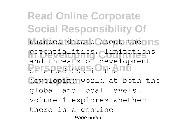**Read Online Corporate Social Responsibility Of** nuanced debate about theons potentialities, climitations **Perspectives** On Antideveloping world at both the and threats of developmentglobal and local levels. Volume 1 explores whether there is a genuine Page 66/99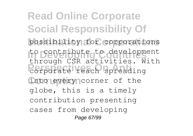**Read Online Corporate Social Responsibility Of Multinational Corporations** possibility for corporations to contribute to development **Personal Corporate reach spreading** into every corner of the through CSR activities. With globe, this is a timely contribution presenting cases from developing Page 67/99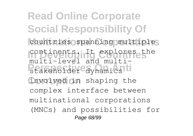**Read Online Corporate Social Responsibility Of** countries spanning multiples continents. It explores the manen neven and manen involved in shaping the multi-level and multicomplex interface between multinational corporations (MNCs) and possibilities for Page 68/99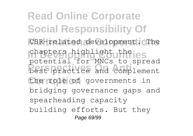**Read Online Corporate Social Responsibility Of** CSR-related development. The chapters highlight theies **Perspectives On Anti** best practice and complement the role of governments in potential for MNCs to spread bridging governance gaps and spearheading capacity building efforts. But they Page 69/99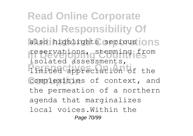**Read Online Corporate Social Responsibility Of** also highlights serious ons reservations, stemming from **Perspectives On Anti** limited appreciation of the complexities of context, and isolated assessments, the permeation of a northern agenda that marginalizes local voices.Within the Page 70/99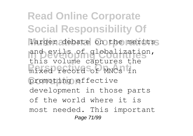**Read Online Corporate Social Responsibility Of** larger debate on the merits and evils of globalization, **Perspectives On Anti** mixed record of MNCs in promoting effective this volume captures the development in those parts of the world where it is most needed. This important Page 71/99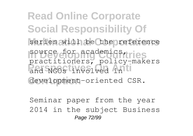**Read Online Corporate Social Responsibility Of** series will be the reference source for academics, rries **Perspectives On Anti** and NGOs involved in development-oriented CSR. practitioners, policy-makers

Seminar paper from the year 2014 in the subject Business Page 72/99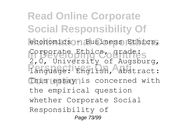**Read Online Corporate Social Responsibility Of** economics - Business Ethics, Corporate Ethics, grade: **Perspectives On Anti** language: English, abstract: This essay is concerned with 2,0, University of Augsburg, the empirical question whether Corporate Social Responsibility of Page 73/99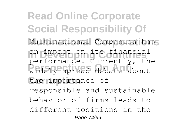**Read Online Corporate Social Responsibility Of** Multinational Companies has an impact on its financial **Perspectives On Anti** widely spread debate about the importance of performance. Currently, the responsible and sustainable behavior of firms leads to different positions in the Page 74/99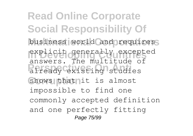**Read Online Corporate Social Responsibility Of** business world and requires explicit generally excepted **Perspectives On Anti** already existing studies Shows that it is almost answers. The multitude of impossible to find one commonly accepted definition and one perfectly fitting Page 75/99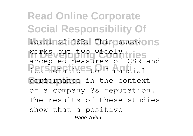**Read Online Corporate Social Responsibility Of** level of CSR. This study ons works veib two widely tries **Perspectives On Anti** its relation to financial performance in the context accepted measures of CSR and of a company ?s reputation. The results of these studies show that a positive Page 76/99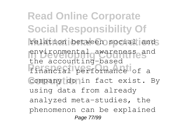**Read Online Corporate Social Responsibility Of** relation between social and **In Developing Countries** environmental awareness and **Perspectives On Anti** financial performance of a Company donin fact exist. By the accounting-based using data from already analyzed meta-studies, the phenomenon can be explained Page 77/99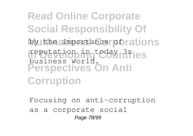**Read Online Corporate Social Responsibility Of** by the importance of rations reputation ingteday n<sup>3</sup>ies **Perspectives On Anti Corruption** business world.

Focusing on anti-corruption as a corporate social Page 78/99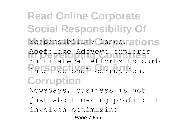**Read Online Corporate Social Responsibility Of** responsibility issuerations **In Developing Countries** Adefolake Adeyeye explores **Perspectives On Anti** international corruption. **Corruption** multilateral efforts to curb Nowadays, business is not just about making profit; it involves optimizing Page 79/99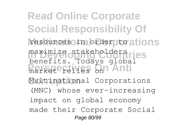**Read Online Corporate Social Responsibility Of** resources in order to ations maximize stakeholders ries **Perspectives** On Anti Multinational Corporations benefits. Todays global (MNC) whose ever-increasing impact on global economy made their Corporate Social Page 80/99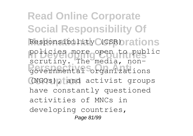**Read Online Corporate Social Responsibility Of** Responsibility (CSR) rations policies more open to public **Perspectives On Anti** governmental organizations **Corruption** (NGOs), and activist groups scrutiny. The media, nonhave constantly questioned activities of MNCs in developing countries, Page 81/99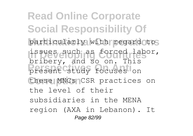**Read Online Corporate Social Responsibility Of** particularly with regard to **In Developing Countries** issues such as forced labor, **Present study focuses** on these MNCs<sub>1</sub>CSR practices on bribery, and so on. This the level of their subsidiaries in the MENA region (AXA in Lebanon). It Page 82/99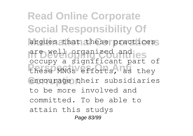**Read Online Corporate Social Responsibility Of** argues that these practices are well organized and jes **Perspectives On Anti** these MNGs efforts, as they encourage their subsidiaries occupy a significant part of to be more involved and committed. To be able to attain this studys Page 83/99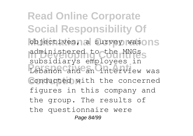**Read Online Corporate Social Responsibility Of** objectives, a survey wasons administered to the MNGs **Perspectives On Anti** Lebanon and an interview was conducted with the concerned subsidiarys employees in figures in this company and the group. The results of the questionnaire were Page 84/99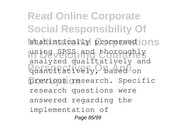**Read Online Corporate Social Responsibility Of** statistically processed **ONS** using SPSS and thoroughly **Perspectives On Anti** quantitatively, based on previous research. Specific analyzed qualitatively and research questions were answered regarding the implementation of Page 85/99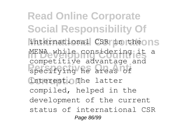**Read Online Corporate Social Responsibility Of** international CSR in theons MENA while considering it a **Personal Continuing Corruption** interest. The latter competitive advantage and compiled, helped in the development of the current status of international CSR Page 86/99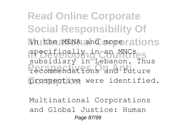**Read Online Corporate Social Responsibility Of** in the MENA and morerations specifically in an MNCses **Perspectives On Anti** recommendations and future prospective were identified. subsidiary in Lebanon. Thus

Multinational Corporations and Global Justice: Human Page 87/99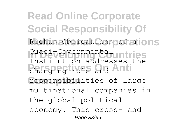**Read Online Corporate Social Responsibility Of** Rights Obligations of alons Quasi-Governmentaluntries **Perspectives On Anti** changing role and responsibilities of large Institution addresses the multinational companies in the global political economy. This cross- and Page 88/99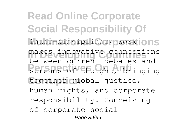**Read Online Corporate Social Responsibility Of** inter-disciplinary work ons makes innovative connections **Productive Control Control**<br>
streams of thought, bringing together global justice, between current debates and human rights, and corporate responsibility. Conceiving of corporate social Page 89/99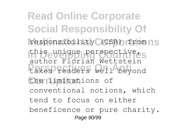**Read Online Corporate Social Responsibility Of** responsibility (CSR) from nS this unique perspective.s **Perspectives On Anti** takes readers well beyond the limitations of author Florian Wettstein conventional notions, which tend to focus on either beneficence or pure charity. Page 90/99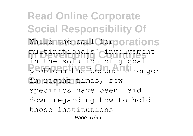**Read Online Corporate Social Responsibility Of While the call Corporations** multinationals' cinvolvement **Perspectives On Anti** problems has become stronger in recent times, few in the solution of global specifics have been laid down regarding how to hold those institutions Page 91/99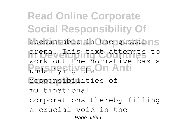**Read Online Corporate Social Responsibility Of** accountable in the globalns **In Developing Countries** arena. This text attempts to **Perspective** Check Anti responsibilities of work out the normative basis multinational corporations—thereby filling a crucial void in the Page 92/99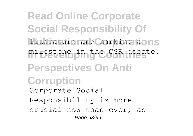**Read Online Corporate Social Responsibility Of** literature and marking aons milestone in the CSR debate. **Perspectives On Anti Corruption** Corporate Social Responsibility is more crucial now than ever, as Page 93/99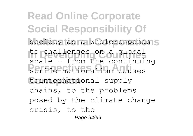**Read Online Corporate Social Responsibility Of** society as a wholeresponds to challenges on auglobal **Perspective Concernation** tointernational supply scale - from the continuing chains, to the problems posed by the climate change crisis, to the Page 94/99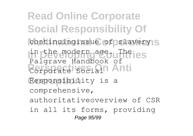**Read Online Corporate Social Responsibility Of** continuingissue of slavery<sub>IS</sub> **In Developing Countries** in the modern age. The **Perspectives** Corporate Social **Anti** Responsibility is a Palgrave Handbook of comprehensive, authoritativeoverview of CSR in all its forms, providing Page 95/99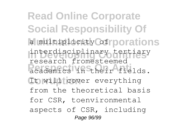**Read Online Corporate Social Responsibility Of** a multiplicity of porations interdisciplinary tertiary **Personal Perspectives** It will cover everything research fromesteemed from the theoretical basis for CSR, toenvironmental aspects of CSR, including Page 96/99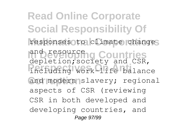**Read Online Corporate Social Responsibility Of** responses to climate changes and resource **Countries**<br>depletion; society and CSR, **Perspectives On Anti** including work-life balance and modern slavery; regional and resource aspects of CSR (reviewing CSR in both developed and developing countries, and Page 97/99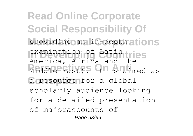**Read Online Corporate Social Responsibility Of** providing an in-depth ations examination of Latin tries **Person**, increased and the case a resource for a global America, Africa and the scholarly audience looking for a detailed presentation of majoraccounts of Page 98/99